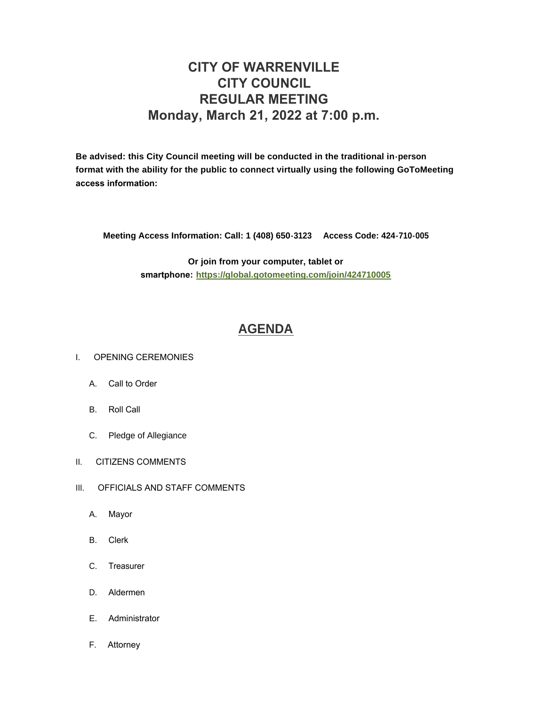# **CITY OF WARRENVILLE CITY COUNCIL REGULAR MEETING Monday, March 21, 2022 at 7:00 p.m.**

**Be advised: this City Council meeting will be conducted in the traditional in-person format with the ability for the public to connect virtually using the following GoToMeeting access information:** 

**Meeting Access Information: Call: 1 (408) 650-3123 Access Code: 424-710-005**

**Or join from your computer, tablet or smartphone: <https://global.gotomeeting.com/join/424710005>**

## **[AGENDA](https://www.warrenville.il.us/DocumentCenter/View/18866/03-21-22--Agenda-Packet-PDF)**

#### I. OPENING CEREMONIES

- A. Call to Order
- B. Roll Call
- C. Pledge of Allegiance
- II. CITIZENS COMMENTS
- III. OFFICIALS AND STAFF COMMENTS
	- A. Mayor
	- B. Clerk
	- C. Treasurer
	- D. Aldermen
	- E. Administrator
	- F. Attorney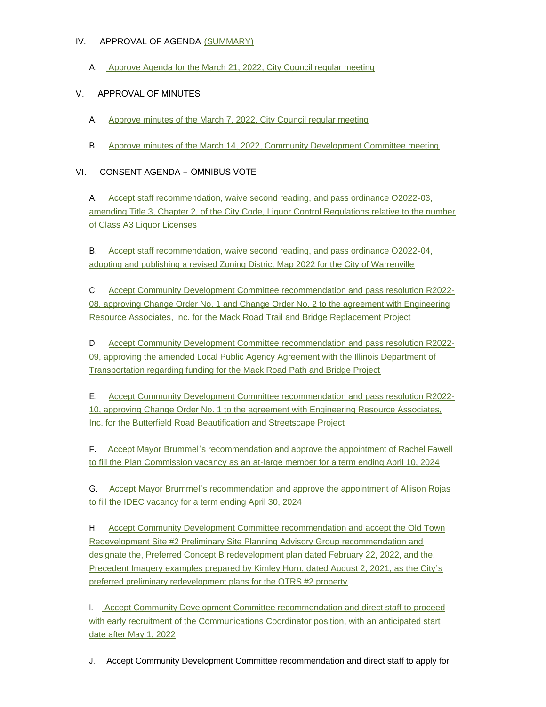### IV. APPROVAL OF AGENDA [\(SUMMARY\)](https://www.warrenville.il.us/DocumentCenter/View/18868/03-21-22-Summary-PDF)

A. [Approve Agenda for the March 21, 2022, City Council regular meeting](https://www.warrenville.il.us/DocumentCenter/View/18867/03-21-22--Agenda-PDF)

## V. APPROVAL OF MINUTES

- A. [Approve minutes of the March 7, 2022, City Council regular meeting](https://www.warrenville.il.us/DocumentCenter/View/18869/VA-3-7-22-Regular-Council-Minutes-PDF)
- B. [Approve minutes of the March 14, 2022, Community Development Committee meeting](https://www.warrenville.il.us/DocumentCenter/View/18870/VB-03-14-22-CDC-Meeting-Minutes-PDF)

## VI. CONSENT AGENDA – OMNIBUS VOTE

A. Accept staff recommendation, waive second reading, and pass ordinance O2022-03, ame[nding Title 3, Chapter 2, of the City Code, Liquor Control Regulations relative to the number](https://www.warrenville.il.us/DocumentCenter/View/18871/VIA-O2022-03-Liquor-Class-A3---Limit-Decrease-PDF)  of Class A3 Liquor Licenses

B. [Accept staff recommendation, waive second reading, and pass ordinance O2022-04,](https://www.warrenville.il.us/DocumentCenter/View/18872/VIB-O2022-04-Zoning-Map-Ordinance--2022-PDF)  adopting and publishing a revised Zoning District Map 2022 for the City of Warrenville

C. [Accept Community Development Committee recommendation and pass resolution R2022-](https://www.warrenville.il.us/DocumentCenter/View/18873/VIC-R2022-08-Approving-Change-Order-No-1-and-2-Mack-Rd-Bridge-Project-2022-PDF) 08, approving Change Order No. 1 and Change Order No. 2 to the agreement with Engineering Resource Associates, Inc. for the Mack Road Trail and Bridge Replacement Project

D. [Accept Community Development Committee recommendation and pass resolution R2022-](https://www.warrenville.il.us/DocumentCenter/View/18874/VID-R2022-09-Approving-Amendment-to-LAA-with-IDOT-for-Mack-Rd-Bridge-Project-2022-PDF) 09, approving the amended Local Public Agency Agreement with the Illinois Department of Transportation regarding funding for the Mack Road Path and Bridge Project

E. [Accept Community Development Committee recommendation and pass resolution R2022-](https://www.warrenville.il.us/DocumentCenter/View/18875/VIE-R2022-10-Approving-Change-Order-No-1-to-Agreement-with-ERA-Butterfield-Rd-Rt-56-Streetscape-2022-PDF) 10, approving Change Order No. 1 to the agreement with Engineering Resource Associates, Inc. for the Butterfield Road Beautification and Streetscape Project

F. Accept Mayor Brummel's recommendation and approve the appointment of Rachel Fawell to fill [the Plan Commission vacancy as an at-large member for a term ending April 10, 2024](https://www.warrenville.il.us/DocumentCenter/View/18876/VIF-Fawell-Ltr-of-Interest-and-Resume----PDF)

G. Accept Mayor Brummel'[s recommendation and approve the appointment of Allison Rojas](https://www.warrenville.il.us/DocumentCenter/View/18877/VIG-Rojas-Ltr-of-Interest-and-Resume----IDEC--PDF)  to fill the IDEC vacancy for a term ending April 30, 2024

H. [Accept Community Development Committee recommendation and accept the Old Town](https://www.warrenville.il.us/DocumentCenter/View/18878/VIH-Complete-OTRS2-preferred-prelim-plan-rec-memo-PDF)  Redevelopment Site #2 Preliminary Site Planning Advisory Group recommendation and designate the, Preferred Concept B redevelopment plan dated February 22, 2022, and the, Precedent Imagery examples prepared by Kimley Horn, dated August 2, 2021, as the City's preferred preliminary redevelopment plans for the OTRS #2 property

I. [Accept Community Development Committee recommendation and direct staff to proceed](https://www.warrenville.il.us/DocumentCenter/View/18879/VII-Communications-Coordinator-PDF)  with early recruitment of the Communications Coordinator position, with an anticipated start date after May 1, 2022

J. Accept Community Development Committee recommendation and direct staff to apply for